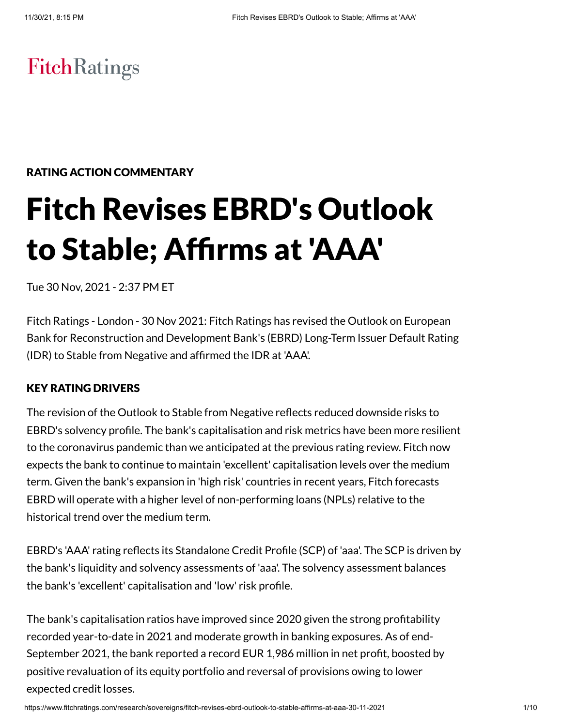# **FitchRatings**

# RATING ACTION COMMENTARY

# Fitch Revises EBRD's Outlook to Stable; Affirms at 'AAA'

Tue 30 Nov, 2021 - 2:37 PM ET

Fitch Ratings - London - 30 Nov 2021: Fitch Ratings has revised the Outlook on European Bank for Reconstruction and Development Bank's (EBRD) Long-Term Issuer Default Rating (IDR) to Stable from Negative and affirmed the IDR at 'AAA'.

#### KEY RATING DRIVERS

The revision of the Outlook to Stable from Negative reflects reduced downside risks to EBRD's solvency profile. The bank's capitalisation and risk metrics have been more resilient to the coronavirus pandemic than we anticipated at the previous rating review. Fitch now expects the bank to continue to maintain 'excellent' capitalisation levels over the medium term. Given the bank's expansion in 'high risk' countries in recent years, Fitch forecasts EBRD will operate with a higher level of non-performing loans (NPLs) relative to the historical trend over the medium term.

EBRD's 'AAA' rating reflects its Standalone Credit Profile (SCP) of 'aaa'. The SCP is driven by the bank's liquidity and solvency assessments of 'aaa'. The solvency assessment balances the bank's 'excellent' capitalisation and 'low' risk profile.

The bank's capitalisation ratios have improved since 2020 given the strong profitability recorded year-to-date in 2021 and moderate growth in banking exposures. As of end-September 2021, the bank reported a record EUR 1,986 million in net profit, boosted by positive revaluation of its equity portfolio and reversal of provisions owing to lower expected credit losses.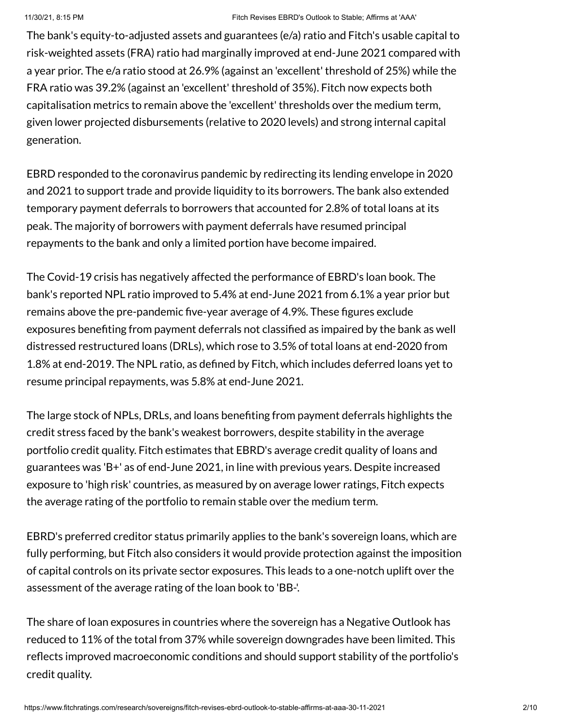The bank's equity-to-adjusted assets and guarantees (e/a) ratio and Fitch's usable capital to risk-weighted assets (FRA) ratio had marginally improved at end-June 2021 compared with a year prior. The e/a ratio stood at 26.9% (against an 'excellent' threshold of 25%) while the FRA ratio was 39.2% (against an 'excellent' threshold of 35%). Fitch now expects both capitalisation metrics to remain above the 'excellent' thresholds over the medium term, given lower projected disbursements (relative to 2020 levels) and strong internal capital generation.

EBRD responded to the coronavirus pandemic by redirecting its lending envelope in 2020 and 2021 to support trade and provide liquidity to its borrowers. The bank also extended temporary payment deferrals to borrowers that accounted for 2.8% of total loans at its peak. The majority of borrowers with payment deferrals have resumed principal repayments to the bank and only a limited portion have become impaired.

The Covid-19 crisis has negatively affected the performance of EBRD's loan book. The bank's reported NPL ratio improved to 5.4% at end-June 2021 from 6.1% a year prior but remains above the pre-pandemic five-year average of 4.9%. These figures exclude exposures benefiting from payment deferrals not classified as impaired by the bank as well distressed restructured loans (DRLs), which rose to 3.5% of total loans at end-2020 from 1.8% at end-2019. The NPL ratio, as defined by Fitch, which includes deferred loans yet to resume principal repayments, was 5.8% at end-June 2021.

The large stock of NPLs, DRLs, and loans benefiting from payment deferrals highlights the credit stress faced by the bank's weakest borrowers, despite stability in the average portfolio credit quality. Fitch estimates that EBRD's average credit quality of loans and guarantees was 'B+' as of end-June 2021, in line with previous years. Despite increased exposure to 'high risk' countries, as measured by on average lower ratings, Fitch expects the average rating of the portfolio to remain stable over the medium term.

EBRD's preferred creditor status primarily applies to the bank's sovereign loans, which are fully performing, but Fitch also considers it would provide protection against the imposition of capital controls on its private sector exposures. This leads to a one-notch uplift over the assessment of the average rating of the loan book to 'BB-'.

The share of loan exposures in countries where the sovereign has a Negative Outlook has reduced to 11% of the total from 37% while sovereign downgrades have been limited. This reflects improved macroeconomic conditions and should support stability of the portfolio's credit quality.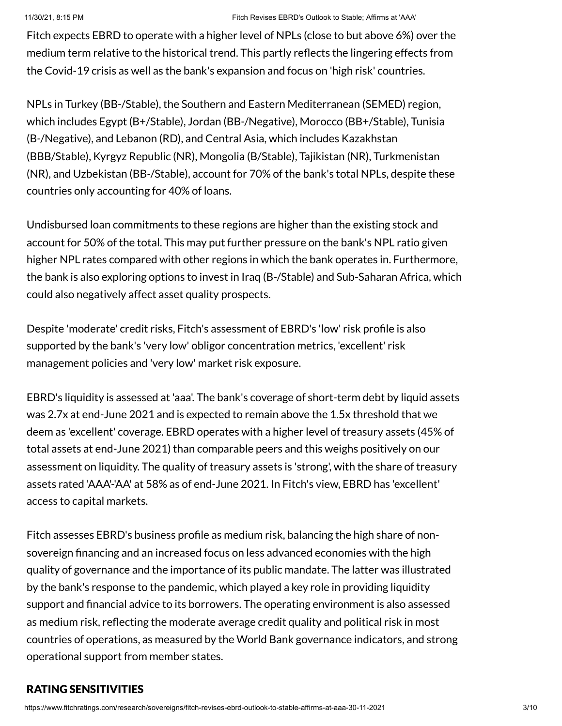Fitch expects EBRD to operate with a higher level of NPLs (close to but above 6%) over the medium term relative to the historical trend. This partly reflects the lingering effects from the Covid-19 crisis as well as the bank's expansion and focus on 'high risk' countries.

NPLs in Turkey (BB-/Stable), the Southern and Eastern Mediterranean (SEMED) region, which includes Egypt (B+/Stable), Jordan (BB-/Negative), Morocco (BB+/Stable), Tunisia (B-/Negative), and Lebanon (RD), and Central Asia, which includes Kazakhstan (BBB/Stable), Kyrgyz Republic (NR), Mongolia (B/Stable), Tajikistan (NR), Turkmenistan (NR), and Uzbekistan (BB-/Stable), account for 70% of the bank's total NPLs, despite these countries only accounting for 40% of loans.

Undisbursed loan commitments to these regions are higher than the existing stock and account for 50% of the total. This may put further pressure on the bank's NPL ratio given higher NPL rates compared with other regions in which the bank operates in. Furthermore, the bank is also exploring options to invest in Iraq (B-/Stable) and Sub-Saharan Africa, which could also negatively affect asset quality prospects.

Despite 'moderate' credit risks, Fitch's assessment of EBRD's 'low' risk profile is also supported by the bank's 'very low' obligor concentration metrics, 'excellent' risk management policies and 'very low' market risk exposure.

EBRD's liquidity is assessed at 'aaa'. The bank's coverage of short-term debt by liquid assets was 2.7x at end-June 2021 and is expected to remain above the 1.5x threshold that we deem as 'excellent' coverage. EBRD operates with a higher level of treasury assets (45% of total assets at end-June 2021) than comparable peers and this weighs positively on our assessment on liquidity. The quality of treasury assets is 'strong', with the share of treasury assets rated 'AAA'-'AA' at 58% as of end-June 2021. In Fitch's view, EBRD has 'excellent' access to capital markets.

Fitch assesses EBRD's business profile as medium risk, balancing the high share of nonsovereign financing and an increased focus on less advanced economies with the high quality of governance and the importance of its public mandate. The latter was illustrated by the bank's response to the pandemic, which played a key role in providing liquidity support and financial advice to its borrowers. The operating environment is also assessed as medium risk, reflecting the moderate average credit quality and political risk in most countries of operations, as measured by the World Bank governance indicators, and strong operational support from member states.

# RATING SENSITIVITIES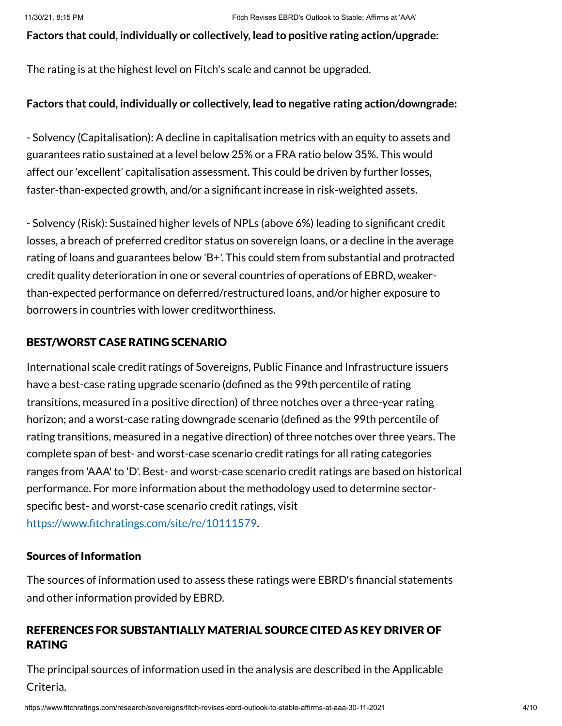#### **Factors that could, individually or collectively, lead to positive rating action/upgrade:**

The rating is at the highest level on Fitch's scale and cannot be upgraded.

#### **Factors that could, individually or collectively, lead to negative rating action/downgrade:**

- Solvency (Capitalisation): A decline in capitalisation metrics with an equity to assets and guarantees ratio sustained at a level below 25% or a FRA ratio below 35%. This would affect our 'excellent' capitalisation assessment. This could be driven by further losses, faster-than-expected growth, and/or a significant increase in risk-weighted assets.

- Solvency (Risk): Sustained higher levels of NPLs (above 6%) leading to significant credit losses, a breach of preferred creditor status on sovereign loans, or a decline in the average rating of loans and guarantees below 'B+'. This could stem from substantial and protracted credit quality deterioration in one or several countries of operations of EBRD, weakerthan-expected performance on deferred/restructured loans, and/or higher exposure to borrowers in countries with lower creditworthiness.

#### BEST/WORST CASE RATING SCENARIO

International scale credit ratings of Sovereigns, Public Finance and Infrastructure issuers have a best-case rating upgrade scenario (defined as the 99th percentile of rating transitions, measured in a positive direction) of three notches over a three-year rating horizon; and a worst-case rating downgrade scenario (defined as the 99th percentile of rating transitions, measured in a negative direction) of three notches over three years. The complete span of best- and worst-case scenario credit ratings for all rating categories ranges from 'AAA' to 'D'. Best- and worst-case scenario credit ratings are based on historical performance. For more information about the methodology used to determine sectorspecific best- and worst-case scenario credit ratings, visit [https://www.fitchratings.com/site/re/10111579.](https://www.fitchratings.com/site/re/10111579)

#### Sources of Information

The sources of information used to assess these ratings were EBRD's financial statements and other information provided by EBRD.

# REFERENCES FOR SUBSTANTIALLY MATERIAL SOURCE CITED AS KEY DRIVER OF RATING

The principal sources of information used in the analysis are described in the Applicable Criteria.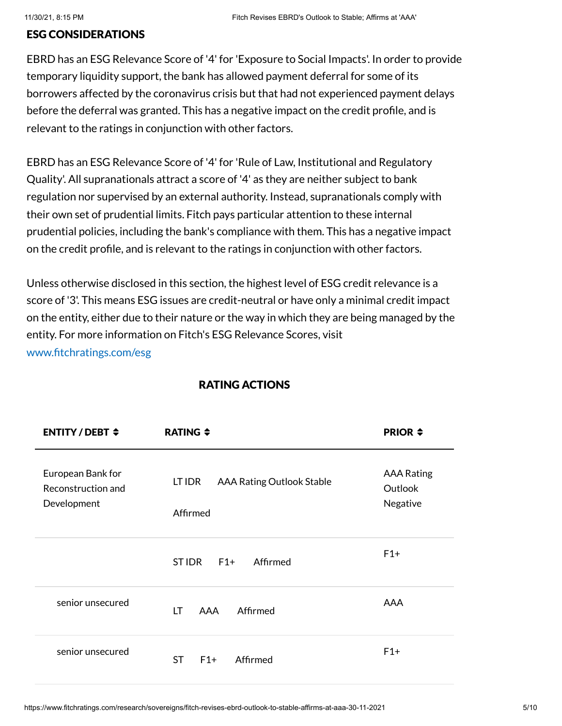#### ESG CONSIDERATIONS

EBRD has an ESG Relevance Score of '4' for 'Exposure to Social Impacts'. In order to provide temporary liquidity support, the bank has allowed payment deferral for some of its borrowers affected by the coronavirus crisis but that had not experienced payment delays before the deferral was granted. This has a negative impact on the credit profile, and is relevant to the ratings in conjunction with other factors.

EBRD has an ESG Relevance Score of '4' for 'Rule of Law, Institutional and Regulatory Quality'. All supranationals attract a score of '4' as they are neither subject to bank regulation nor supervised by an external authority. Instead, supranationals comply with their own set of prudential limits. Fitch pays particular attention to these internal prudential policies, including the bank's compliance with them. This has a negative impact on the credit profile, and is relevant to the ratings in conjunction with other factors.

Unless otherwise disclosed in this section, the highest level of ESG credit relevance is a score of '3'. This means ESG issues are credit-neutral or have only a minimal credit impact on the entity, either due to their nature or the way in which they are being managed by the entity. For more information on Fitch's ESG Relevance Scores, visit [www.fitchratings.com/esg](http://www.fitchratings.com/esg)

| <b>ENTITY/DEBT <math>\div</math></b>                   | RATING $\div$                                          | <b>PRIOR <math>\div</math></b>           |
|--------------------------------------------------------|--------------------------------------------------------|------------------------------------------|
| European Bank for<br>Reconstruction and<br>Development | LT IDR<br><b>AAA Rating Outlook Stable</b><br>Affirmed | <b>AAA Rating</b><br>Outlook<br>Negative |
|                                                        | <b>STIDR</b><br>$F1+$<br>Affirmed                      | $F1+$                                    |
| senior unsecured                                       | Affirmed<br>LT.<br>AAA                                 | <b>AAA</b>                               |
| senior unsecured                                       | <b>ST</b><br>$F1+$<br>Affirmed                         | $F1+$                                    |

#### RATING ACTIONS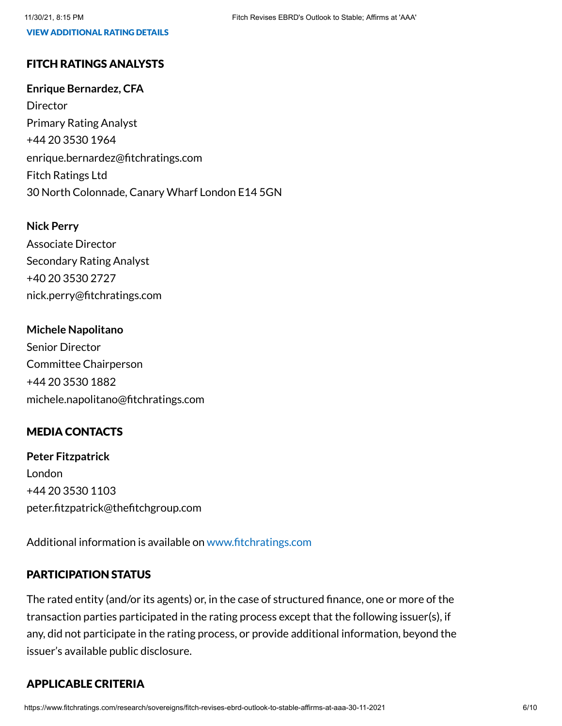#### VIEW ADDITIONAL RATING DETAILS

# FITCH RATINGS ANALYSTS

#### **Enrique Bernardez, CFA**

Director Primary Rating Analyst +44 20 3530 1964 enrique.bernardez@fitchratings.com Fitch Ratings Ltd 30 North Colonnade, Canary Wharf London E14 5GN

#### **Nick Perry**

Associate Director Secondary Rating Analyst +40 20 3530 2727 nick.perry@fitchratings.com

#### **Michele Napolitano**

Senior Director Committee Chairperson +44 20 3530 1882 michele.napolitano@fitchratings.com

# MEDIA CONTACTS

**Peter Fitzpatrick** London +44 20 3530 1103 peter.fitzpatrick@thefitchgroup.com

Additional information is available on [www.fitchratings.com](http://www.fitchratings.com/)

# PARTICIPATION STATUS

The rated entity (and/or its agents) or, in the case of structured finance, one or more of the transaction parties participated in the rating process except that the following issuer(s), if any, did not participate in the rating process, or provide additional information, beyond the issuer's available public disclosure.

# APPLICABLE CRITERIA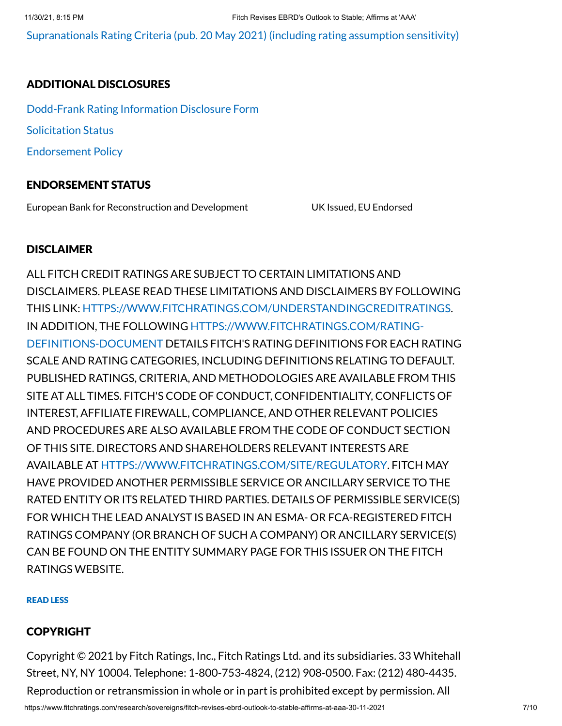[Supranationals](https://www.fitchratings.com/research/sovereigns/supranationals-rating-criteria-20-05-2021) Rating Criteria (pub. 20 May 2021) (including rating assumption sensitivity)

# ADDITIONAL DISCLOSURES

[Dodd-Frank](https://www.fitchratings.com/research/sovereigns/fitch-revises-ebrd-outlook-to-stable-affirms-at-aaa-30-11-2021/dodd-frank-disclosure) Rating Information Disclosure Form Solicitation Status [Endorsement](#page-9-0) Policy

# ENDORSEMENT STATUS

European Bank for Reconstruction and Development UK Issued, EU Endorsed

### **DISCLAIMER**

ALL FITCH CREDIT RATINGS ARE SUBJECT TO CERTAIN LIMITATIONS AND DISCLAIMERS. PLEASE READ THESE LIMITATIONS AND DISCLAIMERS BY FOLLOWING THIS LINK: [HTTPS://WWW.FITCHRATINGS.COM/UNDERSTANDINGCREDITRATINGS](https://www.fitchratings.com/UNDERSTANDINGCREDITRATINGS). IN ADDITION, THE FOLLOWING [HTTPS://WWW.FITCHRATINGS.COM/RATING-](https://www.fitchratings.com/rating-definitions-document)DEFINITIONS-DOCUMENT DETAILS FITCH'S RATING DEFINITIONS FOR EACH RATING SCALE AND RATING CATEGORIES, INCLUDING DEFINITIONS RELATING TO DEFAULT. PUBLISHED RATINGS, CRITERIA, AND METHODOLOGIES ARE AVAILABLE FROM THIS SITE AT ALL TIMES. FITCH'S CODE OF CONDUCT, CONFIDENTIALITY, CONFLICTS OF INTEREST, AFFILIATE FIREWALL, COMPLIANCE, AND OTHER RELEVANT POLICIES AND PROCEDURES ARE ALSO AVAILABLE FROM THE CODE OF CONDUCT SECTION OF THIS SITE. DIRECTORS AND SHAREHOLDERS RELEVANT INTERESTS ARE AVAILABLE AT [HTTPS://WWW.FITCHRATINGS.COM/SITE/REGULATORY](https://www.fitchratings.com/site/regulatory). FITCH MAY HAVE PROVIDED ANOTHER PERMISSIBLE SERVICE OR ANCILLARY SERVICE TO THE RATED ENTITY OR ITS RELATED THIRD PARTIES. DETAILS OF PERMISSIBLE SERVICE(S) FOR WHICH THE LEAD ANALYST IS BASED IN AN ESMA- OR FCA-REGISTERED FITCH RATINGS COMPANY (OR BRANCH OF SUCH A COMPANY) OR ANCILLARY SERVICE(S) CAN BE FOUND ON THE ENTITY SUMMARY PAGE FOR THIS ISSUER ON THE FITCH RATINGS WEBSITE.

#### READ LESS

# COPYRIGHT

Copyright © 2021 by Fitch Ratings, Inc., Fitch Ratings Ltd. and its subsidiaries. 33 Whitehall Street, NY, NY 10004. Telephone: 1-800-753-4824, (212) 908-0500. Fax: (212) 480-4435. Reproduction or retransmission in whole or in part is prohibited except by permission. All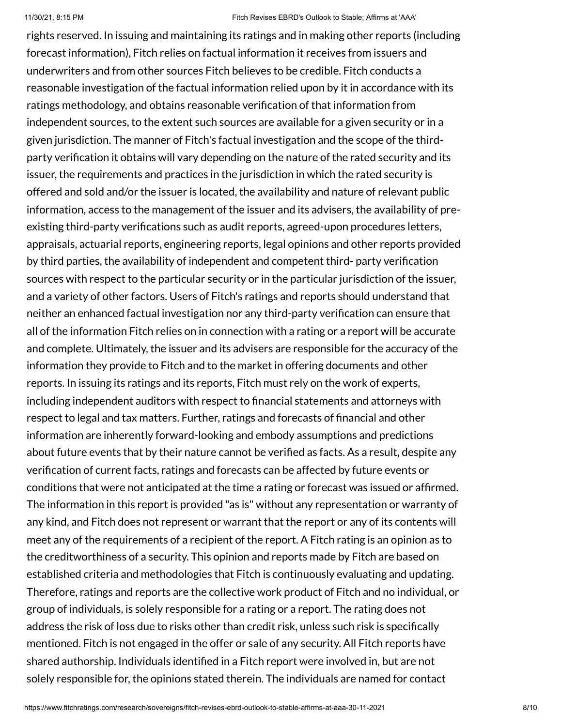rights reserved. In issuing and maintaining its ratings and in making other reports (including forecast information), Fitch relies on factual information it receives from issuers and underwriters and from other sources Fitch believes to be credible. Fitch conducts a reasonable investigation of the factual information relied upon by it in accordance with its ratings methodology, and obtains reasonable verification of that information from independent sources, to the extent such sources are available for a given security or in a given jurisdiction. The manner of Fitch's factual investigation and the scope of the thirdparty verification it obtains will vary depending on the nature of the rated security and its issuer, the requirements and practices in the jurisdiction in which the rated security is offered and sold and/or the issuer is located, the availability and nature of relevant public information, access to the management of the issuer and its advisers, the availability of preexisting third-party verifications such as audit reports, agreed-upon procedures letters, appraisals, actuarial reports, engineering reports, legal opinions and other reports provided by third parties, the availability of independent and competent third- party verification sources with respect to the particular security or in the particular jurisdiction of the issuer, and a variety of other factors. Users of Fitch's ratings and reports should understand that neither an enhanced factual investigation nor any third-party verification can ensure that all of the information Fitch relies on in connection with a rating or a report will be accurate and complete. Ultimately, the issuer and its advisers are responsible for the accuracy of the information they provide to Fitch and to the market in offering documents and other reports. In issuing its ratings and its reports, Fitch must rely on the work of experts, including independent auditors with respect to financial statements and attorneys with respect to legal and tax matters. Further, ratings and forecasts of financial and other information are inherently forward-looking and embody assumptions and predictions about future events that by their nature cannot be verified as facts. As a result, despite any verification of current facts, ratings and forecasts can be affected by future events or conditions that were not anticipated at the time a rating or forecast was issued or affirmed. The information in this report is provided "as is" without any representation or warranty of any kind, and Fitch does not represent or warrant that the report or any of its contents will meet any of the requirements of a recipient of the report. A Fitch rating is an opinion as to the creditworthiness of a security. This opinion and reports made by Fitch are based on established criteria and methodologies that Fitch is continuously evaluating and updating. Therefore, ratings and reports are the collective work product of Fitch and no individual, or group of individuals, is solely responsible for a rating or a report. The rating does not address the risk of loss due to risks other than credit risk, unless such risk is specifically mentioned. Fitch is not engaged in the offer or sale of any security. All Fitch reports have shared authorship. Individuals identified in a Fitch report were involved in, but are not solely responsible for, the opinions stated therein. The individuals are named for contact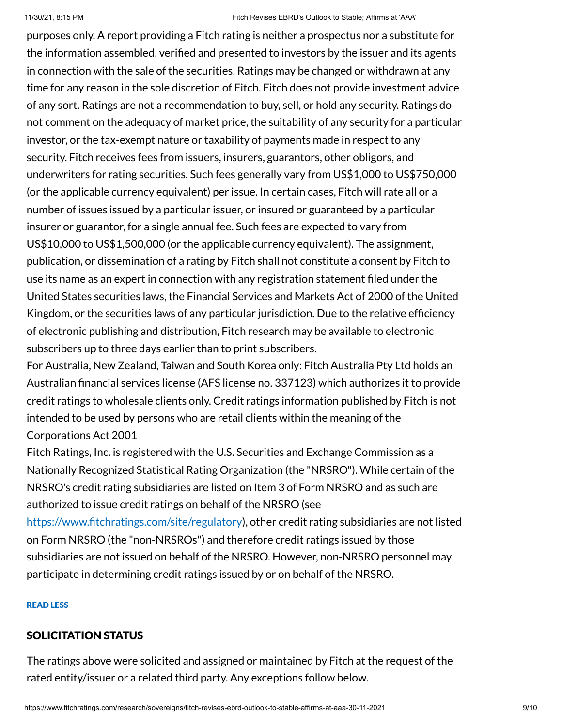purposes only. A report providing a Fitch rating is neither a prospectus nor a substitute for the information assembled, verified and presented to investors by the issuer and its agents in connection with the sale of the securities. Ratings may be changed or withdrawn at any time for any reason in the sole discretion of Fitch. Fitch does not provide investment advice of any sort. Ratings are not a recommendation to buy, sell, or hold any security. Ratings do not comment on the adequacy of market price, the suitability of any security for a particular investor, or the tax-exempt nature or taxability of payments made in respect to any security. Fitch receives fees from issuers, insurers, guarantors, other obligors, and underwriters for rating securities. Such fees generally vary from US\$1,000 to US\$750,000 (or the applicable currency equivalent) per issue. In certain cases, Fitch will rate all or a number of issues issued by a particular issuer, or insured or guaranteed by a particular insurer or guarantor, for a single annual fee. Such fees are expected to vary from US\$10,000 to US\$1,500,000 (or the applicable currency equivalent). The assignment, publication, or dissemination of a rating by Fitch shall not constitute a consent by Fitch to use its name as an expert in connection with any registration statement filed under the United States securities laws, the Financial Services and Markets Act of 2000 of the United Kingdom, or the securities laws of any particular jurisdiction. Due to the relative efficiency of electronic publishing and distribution, Fitch research may be available to electronic subscribers up to three days earlier than to print subscribers.

For Australia, New Zealand, Taiwan and South Korea only: Fitch Australia Pty Ltd holds an Australian financial services license (AFS license no. 337123) which authorizes it to provide credit ratings to wholesale clients only. Credit ratings information published by Fitch is not intended to be used by persons who are retail clients within the meaning of the Corporations Act 2001

Fitch Ratings, Inc. is registered with the U.S. Securities and Exchange Commission as a Nationally Recognized Statistical Rating Organization (the "NRSRO"). While certain of the NRSRO's credit rating subsidiaries are listed on Item 3 of Form NRSRO and as such are authorized to issue credit ratings on behalf of the NRSRO (see

[https://www.fitchratings.com/site/regulatory\)](https://www.fitchratings.com/site/regulatory), other credit rating subsidiaries are not listed on Form NRSRO (the "non-NRSROs") and therefore credit ratings issued by those subsidiaries are not issued on behalf of the NRSRO. However, non-NRSRO personnel may participate in determining credit ratings issued by or on behalf of the NRSRO.

#### READ LESS

# SOLICITATION STATUS

The ratings above were solicited and assigned or maintained by Fitch at the request of the rated entity/issuer or a related third party. Any exceptions follow below.